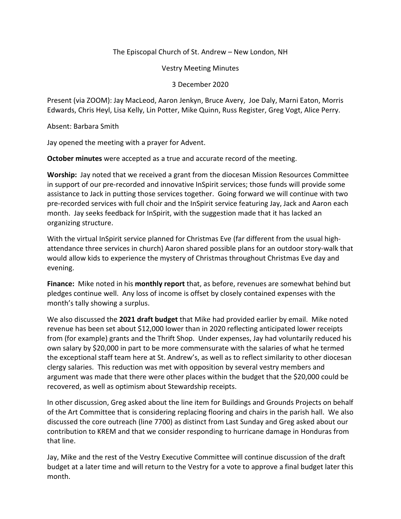The Episcopal Church of St. Andrew – New London, NH

Vestry Meeting Minutes

3 December 2020

Present (via ZOOM): Jay MacLeod, Aaron Jenkyn, Bruce Avery, Joe Daly, Marni Eaton, Morris Edwards, Chris Heyl, Lisa Kelly, Lin Potter, Mike Quinn, Russ Register, Greg Vogt, Alice Perry.

Absent: Barbara Smith

Jay opened the meeting with a prayer for Advent.

**October minutes** were accepted as a true and accurate record of the meeting.

**Worship:** Jay noted that we received a grant from the diocesan Mission Resources Committee in support of our pre-recorded and innovative InSpirit services; those funds will provide some assistance to Jack in putting those services together. Going forward we will continue with two pre-recorded services with full choir and the InSpirit service featuring Jay, Jack and Aaron each month. Jay seeks feedback for InSpirit, with the suggestion made that it has lacked an organizing structure.

With the virtual InSpirit service planned for Christmas Eve (far different from the usual highattendance three services in church) Aaron shared possible plans for an outdoor story-walk that would allow kids to experience the mystery of Christmas throughout Christmas Eve day and evening.

**Finance:** Mike noted in his **monthly report** that, as before, revenues are somewhat behind but pledges continue well. Any loss of income is offset by closely contained expenses with the month's tally showing a surplus.

We also discussed the **2021 draft budget** that Mike had provided earlier by email. Mike noted revenue has been set about \$12,000 lower than in 2020 reflecting anticipated lower receipts from (for example) grants and the Thrift Shop. Under expenses, Jay had voluntarily reduced his own salary by \$20,000 in part to be more commensurate with the salaries of what he termed the exceptional staff team here at St. Andrew's, as well as to reflect similarity to other diocesan clergy salaries. This reduction was met with opposition by several vestry members and argument was made that there were other places within the budget that the \$20,000 could be recovered, as well as optimism about Stewardship receipts.

In other discussion, Greg asked about the line item for Buildings and Grounds Projects on behalf of the Art Committee that is considering replacing flooring and chairs in the parish hall. We also discussed the core outreach (line 7700) as distinct from Last Sunday and Greg asked about our contribution to KREM and that we consider responding to hurricane damage in Honduras from that line.

Jay, Mike and the rest of the Vestry Executive Committee will continue discussion of the draft budget at a later time and will return to the Vestry for a vote to approve a final budget later this month.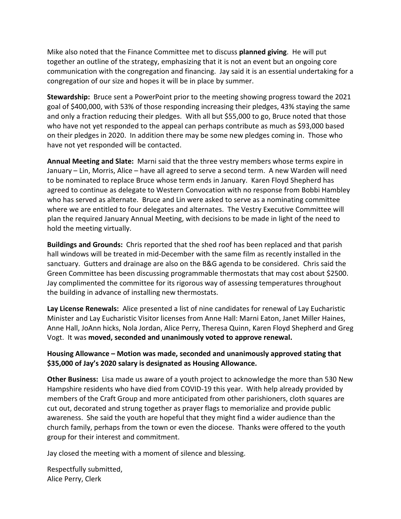Mike also noted that the Finance Committee met to discuss **planned giving**. He will put together an outline of the strategy, emphasizing that it is not an event but an ongoing core communication with the congregation and financing. Jay said it is an essential undertaking for a congregation of our size and hopes it will be in place by summer.

**Stewardship:** Bruce sent a PowerPoint prior to the meeting showing progress toward the 2021 goal of \$400,000, with 53% of those responding increasing their pledges, 43% staying the same and only a fraction reducing their pledges. With all but \$55,000 to go, Bruce noted that those who have not yet responded to the appeal can perhaps contribute as much as \$93,000 based on their pledges in 2020. In addition there may be some new pledges coming in. Those who have not yet responded will be contacted.

**Annual Meeting and Slate:** Marni said that the three vestry members whose terms expire in January – Lin, Morris, Alice – have all agreed to serve a second term. A new Warden will need to be nominated to replace Bruce whose term ends in January. Karen Floyd Shepherd has agreed to continue as delegate to Western Convocation with no response from Bobbi Hambley who has served as alternate. Bruce and Lin were asked to serve as a nominating committee where we are entitled to four delegates and alternates. The Vestry Executive Committee will plan the required January Annual Meeting, with decisions to be made in light of the need to hold the meeting virtually.

**Buildings and Grounds:** Chris reported that the shed roof has been replaced and that parish hall windows will be treated in mid-December with the same film as recently installed in the sanctuary. Gutters and drainage are also on the B&G agenda to be considered. Chris said the Green Committee has been discussing programmable thermostats that may cost about \$2500. Jay complimented the committee for its rigorous way of assessing temperatures throughout the building in advance of installing new thermostats.

**Lay License Renewals:** Alice presented a list of nine candidates for renewal of Lay Eucharistic Minister and Lay Eucharistic Visitor licenses from Anne Hall: Marni Eaton, Janet Miller Haines, Anne Hall, JoAnn hicks, Nola Jordan, Alice Perry, Theresa Quinn, Karen Floyd Shepherd and Greg Vogt. It was **moved, seconded and unanimously voted to approve renewal.** 

## **Housing Allowance – Motion was made, seconded and unanimously approved stating that \$35,000 of Jay's 2020 salary is designated as Housing Allowance.**

**Other Business:** Lisa made us aware of a youth project to acknowledge the more than 530 New Hampshire residents who have died from COVID-19 this year. With help already provided by members of the Craft Group and more anticipated from other parishioners, cloth squares are cut out, decorated and strung together as prayer flags to memorialize and provide public awareness. She said the youth are hopeful that they might find a wider audience than the church family, perhaps from the town or even the diocese. Thanks were offered to the youth group for their interest and commitment.

Jay closed the meeting with a moment of silence and blessing.

Respectfully submitted, Alice Perry, Clerk